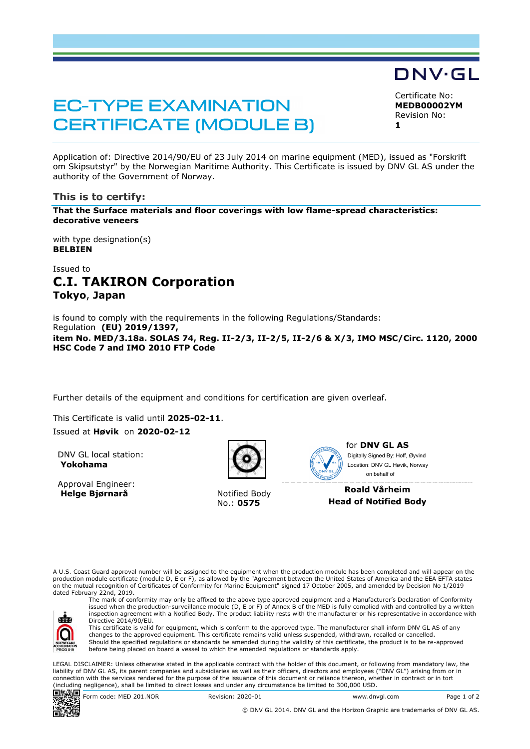## **EC-TYPE EXAMINATION CERTIFICATE (MODULE B)**

DNV·GL

Certificate No: **MEDB00002YM** Revision No: **1** 

Application of: Directive 2014/90/EU of 23 July 2014 on marine equipment (MED), issued as "Forskrift om Skipsutstyr" by the Norwegian Maritime Authority. This Certificate is issued by DNV GL AS under the authority of the Government of Norway.

### **This is to certify:**

**That the Surface materials and floor coverings with low flame-spread characteristics: decorative veneers**

with type designation(s) **BELBIEN**

## Issued to **C.I. TAKIRON Corporation Tokyo**, **Japan**

is found to comply with the requirements in the following Regulations/Standards: Regulation **(EU) 2019/1397, item No. MED/3.18a. SOLAS 74, Reg. II-2/3, II-2/5, II-2/6 & X/3, IMO MSC/Circ. 1120, 2000 HSC Code 7 and IMO 2010 FTP Code** 

Further details of the equipment and conditions for certification are given overleaf.

This Certificate is valid until **2025-02-11**.

#### Issued at **Høvik** on **2020-02-12**

DNV GL local station: **Yokohama**

Approval Engineer: **Helge Bjørnarå** Notified Body



No.: **0575**



for **DNV GL AS** on behalf ofDigitally Signed By: Hoff, Øyvind Location: DNV GL Høvik, Norway

**Roald Vårheim Head of Notified Body** 

A U.S. Coast Guard approval number will be assigned to the equipment when the production module has been completed and will appear on the production module certificate (module D, E or F), as allowed by the "Agreement between the United States of America and the EEA EFTA states<br>on the mutual recognition of Certificates of Conformity for Marine Equipment" sign dated February 22nd, 2019.



The mark of conformity may only be affixed to the above type approved equipment and a Manufacturer's Declaration of Conformity issued when the production-surveillance module (D, E or F) of Annex B of the MED is fully complied with and controlled by a written inspection agreement with a Notified Body. The product liability rests with the manufacturer or his representative in accordance with Directive 2014/90/EU. This certificate is valid for equipment, which is conform to the approved type. The manufacturer shall inform DNV GL AS of any

changes to the approved equipment. This certificate remains valid unless suspended, withdrawn, recalled or cancelled. Should the specified regulations or standards be amended during the validity of this certificate, the product is to be re-approved before being placed on board a vessel to which the amended regulations or standards apply.

LEGAL DISCLAIMER: Unless otherwise stated in the applicable contract with the holder of this document, or following from mandatory law, the liability of DNV GL AS, its parent companies and subsidiaries as well as their officers, directors and employees ("DNV GL") arising from or in connection with the services rendered for the purpose of the issuance of this document or reliance thereon, whether in contract or in tort (including negligence), shall be limited to direct losses and under any circumstance be limited to 300,000 USD.



© DNV GL 2014. DNV GL and the Horizon Graphic are trademarks of DNV GL AS.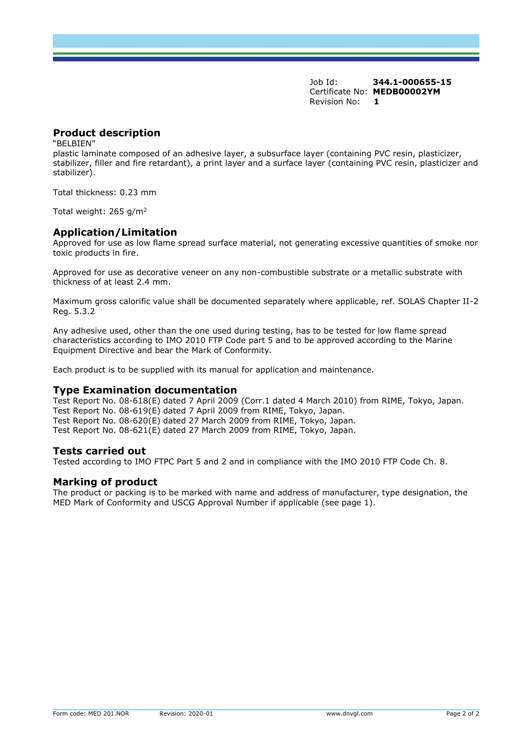Job Id: **344.1-000655-15** Certificate No: **MEDB00002YM** Revision No: **1** 

## **Product description**

"BELBIEN"

plastic laminate composed of an adhesive layer, a subsurface layer (containing PVC resin, plasticizer, stabilizer, filler and fire retardant), a print layer and a surface layer (containing PVC resin, plasticizer and stabilizer).

Total thickness: 0.23 mm

Total weight: 265 g/m<sup>2</sup>

### **Application/Limitation**

Approved for use as low flame spread surface material, not generating excessive quantities of smoke nor toxic products in fire.

Approved for use as decorative veneer on any non-combustible substrate or a metallic substrate with thickness of at least 2.4 mm.

Maximum gross calorific value shall be documented separately where applicable, ref. SOLAS Chapter II-2 Reg. 5.3.2

Any adhesive used, other than the one used during testing, has to be tested for low flame spread characteristics according to IMO 2010 FTP Code part 5 and to be approved according to the Marine Equipment Directive and bear the Mark of Conformity.

Each product is to be supplied with its manual for application and maintenance.

#### **Type Examination documentation**

Test Report No. 08-618(E) dated 7 April 2009 (Corr.1 dated 4 March 2010) from RIME, Tokyo, Japan. Test Report No. 08-619(E) dated 7 April 2009 from RIME, Tokyo, Japan. Test Report No. 08-620(E) dated 27 March 2009 from RIME, Tokyo, Japan. Test Report No. 08-621(E) dated 27 March 2009 from RIME, Tokyo, Japan.

### **Tests carried out**

Tested according to IMO FTPC Part 5 and 2 and in compliance with the IMO 2010 FTP Code Ch. 8.

### **Marking of product**

The product or packing is to be marked with name and address of manufacturer, type designation, the MED Mark of Conformity and USCG Approval Number if applicable (see page 1).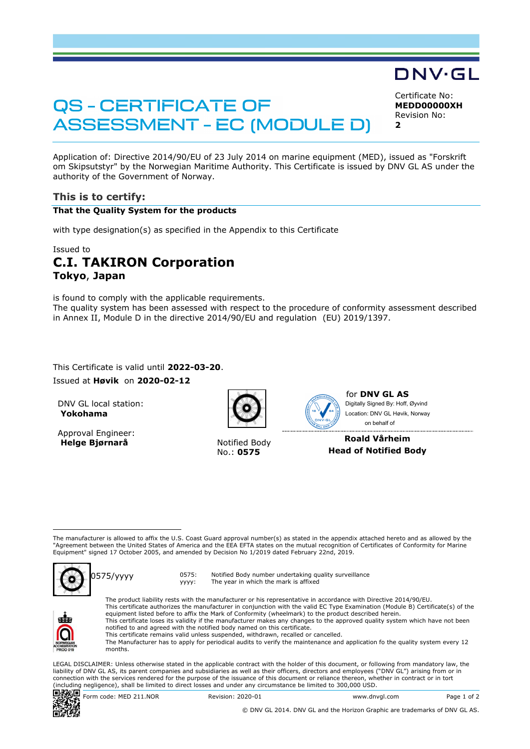# **QS - CERTIFICATE OF ASSESSMENT - EC (MODULE D)**

Certificate No: **MEDD00000XH** Revision No:  $\overline{\mathbf{2}}$ 

DNV·GL

Application of: Directive 2014/90/EU of 23 July 2014 on marine equipment (MED), issued as "Forskrift om Skipsutstyr" by the Norwegian Maritime Authority. This Certificate is issued by DNV GL AS under the authority of the Government of Norway.

## **This is to certify:**

### **That the Quality System for the products**

with type designation(s) as specified in the Appendix to this Certificate

### Issued to

## **C.I. TAKIRON Corporation Tokyo**, **Japan**

is found to comply with the applicable requirements. The quality system has been assessed with respect to the procedure of conformity assessment described in Annex II, Module D in the directive 2014/90/EU and regulation (EU) 2019/1397.

... This Certificate is valid until **2022-03-20**.

Issued at **Høvik** on **2020-02-12**

DNV GL local station: **Yokohama**

Approval Engineer: **Helge Bjørnarå** Notified Body

No.: **0575**



for **DNV GL AS** on behalf ofDigitally Signed By: Hoff, Øyvind Location: DNV GL Høvik, Norway

### **Roald Vårheim Head of Notified Body**

The manufacturer is allowed to affix the U.S. Coast Guard approval number(s) as stated in the appendix attached hereto and as allowed by the "Agreement between the United States of America and the EEA EFTA states on the mutual recognition of Certificates of Conformity for Marine<br>Equipment" signed 17 October 2005, and amended by Decision No 1/2019 dated February



0575/yyyy 0575:

yyyy: Notified Body number undertaking quality surveillance The year in which the mark is affixed



The product liability rests with the manufacturer or his representative in accordance with Directive 2014/90/EU. This certificate authorizes the manufacturer in conjunction with the valid EC Type Examination (Module B) Certificate(s) of the equipment listed before to affix the Mark of Conformity (wheelmark) to the product described herein. This certificate loses its validity if the manufacturer makes any changes to the approved quality system which have not been notified to and agreed with the notified body named on this certificate. This certificate remains valid unless suspended, withdrawn, recalled or cancelled.

The Manufacturer has to apply for periodical audits to verify the maintenance and application fo the quality system every 12 months.

LEGAL DISCLAIMER: Unless otherwise stated in the applicable contract with the holder of this document, or following from mandatory law, the liability of DNV GL AS, its parent companies and subsidiaries as well as their officers, directors and employees ("DNV GL") arising from or in connection with the services rendered for the purpose of the issuance of this document or reliance thereon, whether in contract or in tort (including negligence), shall be limited to direct losses and under any circumstance be limited to 300,000 USD.



 $\begin{array}{r} \n\boxed{36} \\
\boxed{36} \\
\boxed{20} \\
\boxed{36} \\
\boxed{4} \\
\boxed{1} \\
\boxed{1} \\
\boxed{1} \\
\boxed{1} \\
\boxed{1} \\
\boxed{1} \\
\boxed{1} \\
\boxed{1} \\
\boxed{1} \\
\boxed{1} \\
\boxed{1} \\
\boxed{1} \\
\boxed{1} \\
\boxed{1} \\
\boxed{1} \\
\boxed{1} \\
\boxed{1} \\
\boxed{1} \\
\boxed{1} \\
\boxed{2} \\
\boxed{3} \\
\boxed{1} \\
\boxed{1} \\
\boxed{1} \\
\boxed{1} \\
\boxed{1} \\
\boxed{1} \\
\boxed{1} \\
\boxed{2} \\
\boxed{$ 

© DNV GL 2014. DNV GL and the Horizon Graphic are trademarks of DNV GL AS.